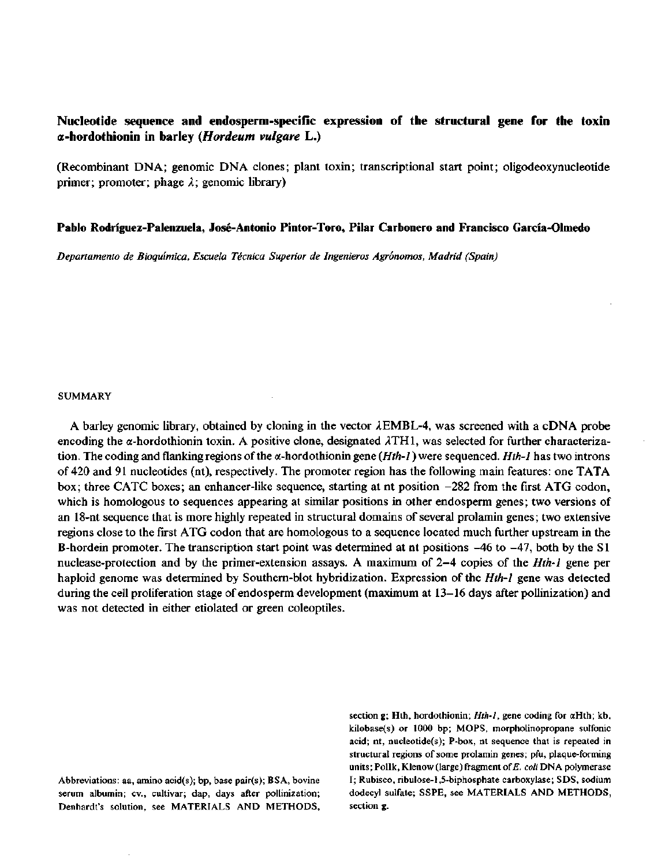# **Nucleotíde sequence and endosperm-specific expression of the structural gene for the toxin a-hordothionin in barley** *(Hordeum vulgare* **L.)**

(Recombinant DNA; genomic DNA clones; plant toxin; transcriptional start point; oligodeoxynucleotide primer; promoter; phage *X;* genomic library)

## **Pablo Rodríguez-Palenzuela, José-Antonio Pintor-Toro, Pilar Carbonero and Francisco García-Olmedo**

*Departamento de Bioquímica, Escuela Técnica Superior de Ingenieros Agrónomos, Madrid (Spain)* 

#### SUMMARY

A barley genomic library, obtained by cloning in the vector  $\lambda$  EMBL-4, was screened with a cDNA probe encoding the  $\alpha$ -hordothionin toxin. A positive clone, designated  $\lambda$ TH1, was selected for further characterization. The coding and flanking regions of the a-hordothionin gene *{Hth-1*) were sequenced. *Hth-1* has two introns of 420 and 91 nucleotides (nt), respectively. The promoter región has the following main features: one TATA box; three CATC boxes; an enhancer-like sequence, starting at nt position -282 from the first ATG codon, which is homologous to sequences appearing at similar positions in other endosperm genes; two versions of an 18-nt sequence that is more highly repeated in structural domains of several prolamin genes; two extensive regions cióse to the first ATG codon that are homologous to a sequence located much further upstream in the B-hordein promoter. The transcription start point was determined at nt positions -46 to -47, both by the SI nuclease-protection and by the primer-extension assays. A maximum of 2-4 copies of the *Hth-1* gene per haploid genome was determined by Southern-blot hybridization. Expression of the *Hth-1* gene was detected during the cell proliferation stage of endosperm development (maximum at 13-16 days after pollinization) and was not detected in either etiolated or green coleoptiles.

Denhardt's solution, see MATERIALS AND METHODS, section g.

section g; Hth, hordothionin; *Hth-1,* gene coding for aHth; kb, kilobase(s) or 1000 bp; MOPS, morpholinopropane sulfonic acid; nt, nucleotide(s); P-box, nt sequence that is repeated in structural regions of some prolamin genes; pfu, plaque-forming units; Pollk, Klenow (large) fragment of *E. coli* DNA polymerase Abbreviations: aa, amino acid(s); bp, base pair(s); BSA, bovine I; Rubisco, ribulose-l,5-biphosphate carboxylase; SDS, sodium serum albumin; cv., cultivar; dap, days after pollinization; dodecyl sulfate; SSPE, see MATERIALS AND METHODS,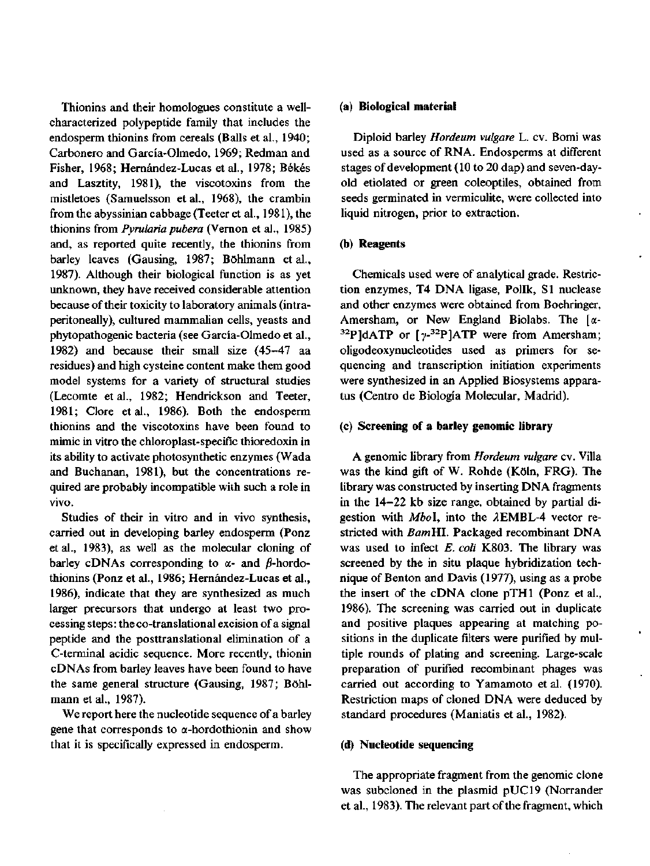Thionins and their homologues constitute a wellcharacterized polypeptide family that includes the endosperm thionins from cereals (Balls et al., 1940; Carbonero and García-Olmedo, 1969; Redman and Fisher, 1968; Hernández-Lucas et al., 1978; Békés and Lasztity, 1981), the viscotoxins from the mistletoes (Samuelsson et al., 1968), the crambin from the abyssinian cabbage (Teeter et al., 1981), the thionins from *Pyrularia púbera* (Vernon et al., 1985) and, as reported quite recently, the thionins from barley leaves (Gausing, 1987; Bóhlmann et al., 1987). Although their biological function is as yet unknown, they have received considerable attention because of their toxicity to laboratory animals (intraperitoneally), cultured mammalian cells, yeasts and phytopathogenic bacteria (see García-Olmedo et al., 1982) and because their small size (45-47 aa residues) and high cysteine content make them good model systems for a variety of structural studies (Lecomte et al., 1982; Hendrickson and Teeter, 1981; Clore et al., 1986). Both the endosperm thionins and the viscotoxins have been found to mimic in vitro the chloroplast-specific thioredoxin in its ability to actívate photosynthetic enzymes (Wada and Buchanan, 1981), but the concentrations required are probably incompatible with such a role in vivo.

Studies of their in vitro and in vivo synthesis, carried out in developing barley endosperm (Ponz et al., 1983), as well as the molecular cloning of barley cDNAs corresponding to  $\alpha$ - and  $\beta$ -hordothionins (Ponz et al., 1986; Hernández-Lucas et al., 1986), indícate that they are synthesized as much larger precursors that undergo at least two processing steps: the co-translational excisión of a signal peptide and the posttranslational elimination of a C-terminal acidic sequence. More recently, thionin cDNAs from barley leaves have been found to have the same general structure (Gausing, 1987; Bóhlmann et al., 1987).

We report here the nucleotide sequence of a barley gene that corresponds to  $\alpha$ -hordothionin and show that it is specifically expressed in endosperm.

## **(a) Biological material**

Diploid barley *Hordeum vulgare* L. cv. Bomi was used as a source of RNA. Endosperms at different stages of development (10 to 20 dap) and seven-dayold etiolated or green coleoptiles, obtained from seeds germinated in vermiculite, were collected into liquid nitrogen, prior to extraction.

### (b) **Reagents**

Chemicals used were of analytical grade. Restriction enzymes, T4 DNA ligase, Pollk, SI nuclease and other enzymes were obtained from Boehringer, Amersham, or New England Biolabs. The  $\lceil \alpha - \frac{1}{2} \rceil$ <sup>32</sup>P]dATP or  $\lceil \gamma^{-32}P \rceil$ ATP were from Amersham; oligodeoxynucleotides used as primers for sequencing and transcription initiation experiments were synthesized in an Applied Biosystems apparatus (Centro de Biología Molecular, Madrid).

### **(c) Screening of a barley genomic library**

A genomic library from *Hordeum vulgare* cv. Villa was the kind gift of W. Rohde (Kóln, FRG). The library was constructed by inserting DNA fragments in the 14-22 kb size range, obtained by partial digestion with *Mbol*, into the  $\lambda$ EMBL-4 vector restricted with *BamHl.* Packaged recombinant DNA was used to infect *E. coli* K803. The library was screened by the in situ plaque hybridization technique of Benton and Davis (1977), using as a probé the insert of the cDNA clone pTHl (Ponz et al., 1986). The screening was carried out in duplícate and positive plaques appearing at matching positions in the duplicate filters were purified by multiple rounds of plating and screening. Large-scale preparation of purified recombinant phages was carried out according to Yamamoto et al. (1970). Restriction maps of cloned DNA were deduced by standard procedures (Maniatis et al., 1982).

### (d) **Nucleotide sequencing**

The appropriate fragment from the genomic clone was subcloned in the plasmid pUC19 (Norrander et al., 1983). The relevant part of the fragment, which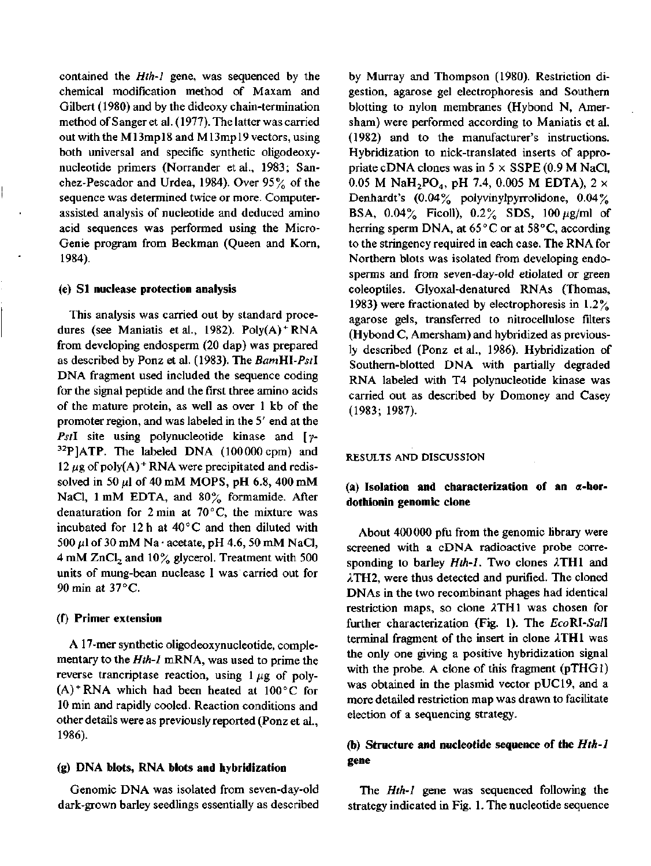contained the *Hth-1* gene, was sequenced by the chemical modification method of Maxam and Gilbert (1980) and by the dideoxy chain-termination method of Sanger et al. (1977). The latter was carried out with the M13mp 18 and M13mp 19 vectors, using both universal and specific synthetic oligodeoxynucleotide primers (Norrander et al., 1983; Sanchez-Pescador and Urdea, 1984). Over 95% of the sequence was determined twice or more. Computerassisted analysis of nucleotide and deduced amino acid sequences was performed using the Micro-Genie program from Beckman (Queen and Korn, 1984).

### (e) **SI nuclease protection analysis**

This analysis was carried out by standard procedures (see Maniatis et al., 1982). Poly(A) <sup>+</sup> RNA from developing endosperm (20 dap) was prepared as described by Ponz et al. (1983). The *BamHl-Pstl*  DNA fragment used included the sequence coding for the signal peptide and the first three amino acids of the mature protein, as well as over 1 kb of the promoter región, and was labeled in the 5' end at the Pst<sub>I</sub> site using polynucleotide kinase and [y- $32P$ ]ATP. The labeled DNA (100000 cpm) and 12  $\mu$ g of poly(A)<sup>+</sup> RNA were precipitated and redissolved in 50  $\mu$ l of 40 mM MOPS, pH 6.8, 400 mM NaCl, 1 mM EDTA, and  $80\%$  formamide. After denaturation for 2 min at  $70^{\circ}$ C, the mixture was incubated for 12 h at  $40^{\circ}$ C and then diluted with 500  $\mu$ l of 30 mM Na · acetate, pH 4.6, 50 mM NaCl, 4 mM  $ZnCl<sub>2</sub>$  and 10% glycerol. Treatment with 500 units of mung-bean nuclease I was carried out for 90 min at 37 °C.

### **(f**) **Primer extensión**

A 17-mer synthetic oligodeoxynucleotide, complementary to the *Hth-1* mRNA, was used to prime the reverse trancriptase reaction, using  $1 \mu$ g of poly- $(A)$ <sup>+</sup> RNA which had been heated at  $100^{\circ}$ C for 10 min and rapidly cooled. Reaction conditions and other details were as previously reported (Ponz et al., 1986).

### **(g) DNA blots, RNA blots and hybridization**

Genomic DNA was isolated from seven-day-old dark-grown barley seedlings essentially as described

by Murray and Thompson (1980). Restriction digestión, agarose gel electrophoresis and Southern blotting to nylon membranes (Hybond N, Amersham) were performed according to Maniatis et al.  $(1982)$  and to the manufacturer's instructions. Hybridization to nick-translated inserts of appropriate cDNA clones was in  $5 \times$  SSPE (0.9 M NaCl, 0.05 M NaH<sub>2</sub>PO<sub>4</sub>, pH 7.4, 0.005 M EDTA),  $2 \times$ Denhardt's (0.04% polyvinylpyrrolidone, 0.04% BSA,  $0.04\%$  Ficoll),  $0.2\%$  SDS,  $100 \mu g/ml$  of herring sperm DNA, at  $65^{\circ}$ C or at  $58^{\circ}$ C, according to the stringency required in each case. The RNA for Northern blots was isolated from developing endosperms and from seven-day-old etiolated or green coleoptiles. Glyoxal-denatured RNAs (Thomas, 1983) were fractionated by electrophoresis in 1.2% agarose gels, transferred to nitrocellulose filters (Hybond C, Amersham) and hybridized as previously described (Ponz et al., 1986). Hybridization of Southern-blotted DNA with partially degraded RNA labeled with T4 polynucleotide kinase was carried out as described by Domoney and Casey (1983; 1987).

## RESULTS AND DISCUSSION

## **(a) Isolation and characterization of an a-hordothionin genomic clone**

About 400 000 pfu from the genomic library were screened with a cDNA radioactive probé corresponding to barley *Hth-1.* Two clones 2TH1 and ATH2, were thus detected and purified. The cloned DNAs in the two recombinant phages had identical restriction maps, so clone ATH1 was chosen for further characterization (Fig. 1). The *EcoRl-Sall*  terminal fragment of the insert in clone ATH1 was the only one giving a positive hybridization signal with the probe. A clone of this fragment  $(pTHG)$ was obtained in the plasmid vector pUC19, and a more detailed restriction map was drawn to facilitate election of a sequencing strategy.

# **(b) Structure and nucleotide sequence of the** *Hth-1*  **gene**

The *Hth-1* gene was sequenced following the strategy indicated in Fig. 1. The nucleotide sequence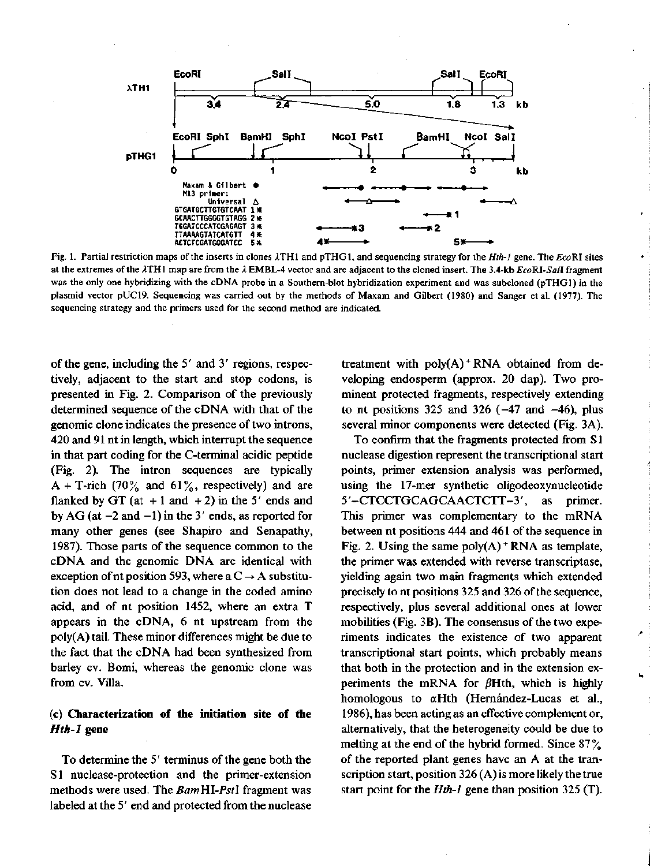

Fig. 1. Partial restriction maps of the inserts in clones /ITHl and pTHGl, and sequencing strategy for the *Hth-1* gene. The EcoRI sites at the extremes of the /ITHl map are from the *k* EMBL-4 vector and are adjacent to the cloned insert. The 3.4-kb *EcoRI-Sall* fragment was the only one hybridizing with the cDNA probé in a Southern-blot hybridization experiment and was subcloned (pTHGl) in the plasmid vector pUC19. Sequencing was carried out by the methods of Maxam and Gilbert (1980) and Sanger et al. (1977). The sequencing strategy and the primers used for the second method are indicated.

of the gene, including the 5' and 3' regions, respectively, adjacent to the start and stop codons, is presented in Fig. 2. Comparison of the previously determined sequence of the cDNA with that of the genomic clone indicates the presence of two introns, 420 and 91 nt in length, which interrupt the sequence in that part coding for the C-terminal acidic peptide (Fig. 2). The intron sequences are typically A + T-rich (70% and 61%, respectively) and are flanked by GT (at  $+1$  and  $+2$ ) in the 5' ends and by AG (at  $-2$  and  $-1$ ) in the 3' ends, as reported for many other genes (see Shapiro and Senapathy, 1987). Those parts of the sequence common to the cDNA and the genomic DNA are identical with exception of nt position 593, where a  $C \rightarrow A$  substitution does not lead to a change in the coded amino acid, and of nt position 1452, where an extra T appears in the cDNA, 6 nt upstream from the poly(A) tail. These minor differences might be due to the fact that the cDNA had been synthesized from barley cv. Bomi, whereas the genomic clone was from cv. Villa.

# **(c) Characterization of the initiation site of the**  *Hth-1* **gene**

To determine the 5' terminus of the gene both the SI nuclease-protection and the primer-extension methods were used. The *BamHl-Pstl* fragment was labeled at the 5' end and protected from the nuclease

treatment with poly(A)<sup>+</sup>RNA obtained from developing endosperm (approx. 20 dap). Two prominent protected fragments, respectively extending to nt positions 325 and 326  $(-47 \text{ and } -46)$ , plus several minor components were detected (Fig. 3A).

To confirm that the fragments protected from S1 nuclease digestión represent the transcriptional start points, primer extensión analysis was performed, using the 17-mer synthetic oligodeoxynucleotide 5'-CTCCTGCAGCAACTCTT-3', as primer. This primer was complementary to the mRNA between nt positions 444 and 461 of the sequence in Fig. 2. Using the same  $poly(A)$  \* RNA as template, the primer was extended with reverse transcriptase, yielding again two main fragments which extended precisely to nt positions 325 and 326 of the sequence, respectively, plus several additional ones at lower mobilities (Fig. 3B). The consensus of the two experiments indicates the existence of two apparent transcriptional start points, which probably means that both in the protection and in the extensión experiments the mRNA for  $\beta$ Hth, which is highly homologous to aHth (Hernández-Lucas et al., 1986), has been acting as an effective complement or, alternatively, that the heterogeneity could be due to melting at the end of the hybrid formed. Since 87% of the reported plant genes have an A at the transcription start, position 326 (A) is more likely the true start point for the *Hth-1* gene than position 325 (T).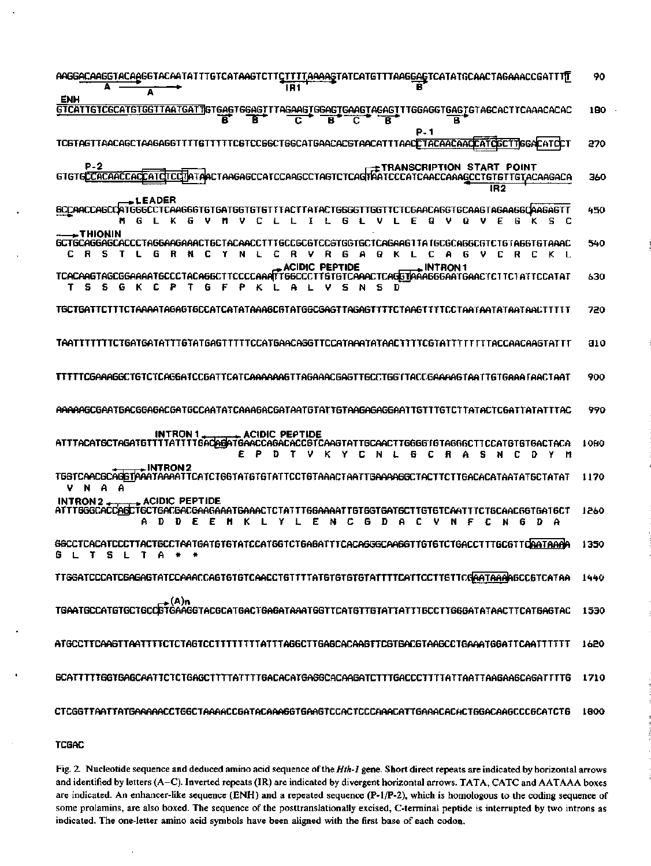| AAGGACAAGGTACAAGGTACAATATTTGTCATAAGTCTTCTTTTAAAAGTATCATGTTTAAGGAGTCATATGCAACTAGAAACCGATTTT<br>IR1<br>A                                                                                                                                                        | 90          |
|---------------------------------------------------------------------------------------------------------------------------------------------------------------------------------------------------------------------------------------------------------------|-------------|
| ENH<br>GTCATTGTCGCATGTGGTTAATGATTGTGAGTGGAGTTTAGAAGTGGAGTGAAGTAGAGTTTGGAGGTGAGTGTAGCACTTCAAACACAC<br>B<br>B<br>С<br>с<br>B<br>в<br>в                                                                                                                          | 180         |
| P 1<br>TC6TAGTTAACAGCTAAGAGGTTTTGTTTTCGTCCGGCTGGCATGAACACGTAACATTTAACCTACAACAACGATCGCTTGGACATCC                                                                                                                                                               | 270         |
| P-2<br><b>TETRANSCRIPTION START POINT</b><br>GTGTGCCGACCACCACCATCCCMTAACTAAGAGCCATCCAAGCCTAGTCTCAGTAATCCCATCAACCAAAGCCTGTGTTGTACAAGACA<br>IR 2                                                                                                                | 360         |
| <b>+LEADER</b><br><b>SCCAACCAGCOATGGGCC</b><br>TCAAGGGTGTGATGGTGT6TfTACTTATACTG6GGTTGGTTCTCGAACAGGTGCAAGTAGAAGGQAAGAGTT<br>I<br>L<br>6<br>υ<br>Ε<br>s<br>F<br>g<br>v<br>С<br>с<br>Q<br>6                                                                      | 450         |
| – THIONIN<br>6CT6CA66A6CACCCTA66AA6AAACT6CTACAACCTTT6CC6C6TCC6T66T6CTCA6AA6TTAT6C6CA666C6TCT6TA66T6TAAAC<br>R<br>v<br>R<br>6<br>A<br>Θ.<br>А<br>c<br>Y<br>N<br>c<br>к<br>с<br>6<br>V C<br>R<br>- 0<br>K L<br>с<br>Ł<br>L<br>6                                 | 540         |
| ACIDIC PEPTIDE<br>. INTRON 1<br>TCACAAGTAGCGGAAAATGCCCTACAGGCTTCCCCAAATTGGCCCTT6TGTCAAACTCAGGTAAAGGGAATGAACTCTTCTATTCCATAT<br>s<br>s<br>G<br>т<br>к<br>c<br>₽<br>s<br>G<br>D<br>Р<br>ĸ                                                                        | 630         |
| TGCTGATTCTTTCTAAAATAGAGTGCCATCATATAAAGCGTATGGCGAGTTAGAGTTTTCTAAGTTTTCCTAATAATAATAACTTTTTT                                                                                                                                                                     | 720         |
|                                                                                                                                                                                                                                                               | <b>a</b> 10 |
| TTTTTCGAAAGGCTGTCTCAGGATCCGATTCATCAAAAAAGTTAGAAACGAGTTGCCTGGTTACCGAAAAGTAATTGTGAAA [AACTAAT                                                                                                                                                                   | 900         |
|                                                                                                                                                                                                                                                               | 990         |
| <b>INTRON 1.</b><br>⊾ ACIDIC PEPTIDE<br>ATTTACATSCTAGATGTTTTATTTTGAQAGATGAACCAGACACCGTCAAGTATTGCAACTTGGGGTGTAGGGCTTCCATGTGTGACTACA<br>s<br>к<br>Y<br>6<br>c<br>я<br>n m<br>c<br>N                                                                             | 1080        |
| TGGTCAACGCAGGTAAATAAAATTCATCTGGTATGTATTCCTGTAAACTAATTGAAAAGGCTACTTCTTGACACATAATATGCTATAT<br>v<br>А<br>N<br>А                                                                                                                                                  | 1170        |
| $\rightarrow$ acidic peptide<br>INTRON 2 __<br>ATTT6GGGACCAGCTGCTGACGACGAAGAAATGAAACTCTATTTGGAAAATTGTGGTGATGCTTGTGTCAATTTCTGCAAC6GTGATGCT<br>с<br>Ð<br>н<br>к<br>с<br>G<br>Α<br>Ð<br>А.<br>D<br>ε<br>Ε<br>Y<br>Ε<br>N<br>D<br>v<br>N<br>F<br>c<br>G<br>А<br>N | 1260        |
| GGCCTCACATCCCTTACTGCCTAATGATGTGTGTATCCATGGTCTGAGATTTCACAGGGCAAGGTTGTGTCTGACCTTTGCGTTQAATAAAA                                                                                                                                                                  | 1350        |
|                                                                                                                                                                                                                                                               | 1440        |
| A)n<br>TGAATGCCATGTGCTGCCGTGAAGGTACGCATGACTGAGTAAATGGTTCATGTTGTATTTGCCTTGGGATATAACTTCATGAGTAC                                                                                                                                                                 | 1530        |
|                                                                                                                                                                                                                                                               | 1620        |
|                                                                                                                                                                                                                                                               | 1710        |
| CTCGGTTAATTATGAAAAACCTGGCTAAAACCGATACAAAGGTGAAGTCCACTCCCAAACATTGAAACACACTGGACAAGCCCGCATCTG                                                                                                                                                                    | 1800        |

**TCGAC** 

Fig. 2. Nucleotide sequence and deduced amino acid sequence of the *Hth-1* gene. Short direct repeats are indicated by horizontal arrows and identified by letters (A-C). Inverted repeats (IR) are indicated by divergent horizontal arrows. TATA, CATC and AATAAA boxes are indicated. An enhancer-like sequence (ENH) and a repeated sequence (P-l/P-2), which is homologous to the coding sequence of some prolamins, are also boxed. The sequence of the posttranslationally excised, C-terminal peptide is interrupted by two introns as indicated. The one-letter amino acid symbols have been aligned with the first base of each codon.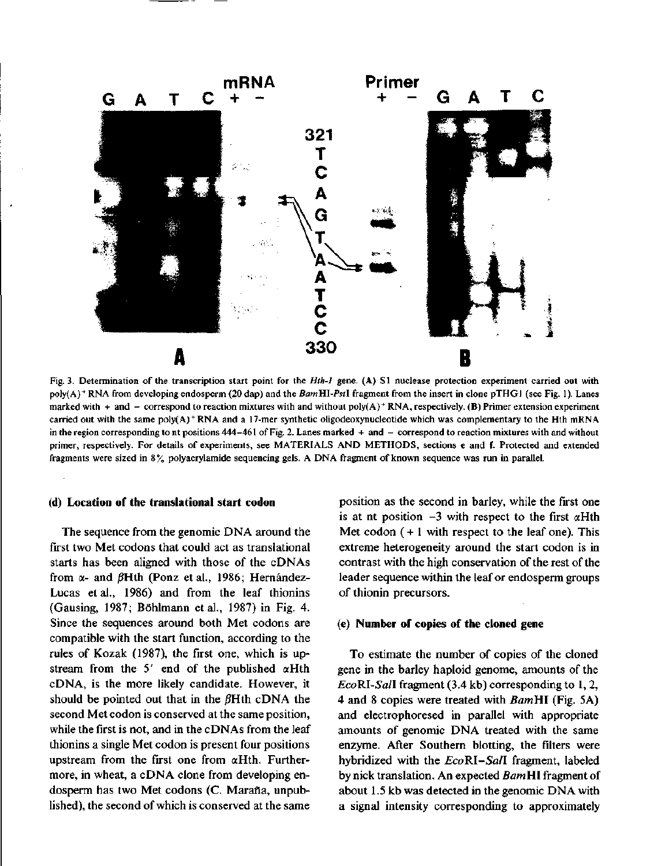

Fig. 3. Determination of the transcription start point for the *Hth-1* gene. (A) SI nuclease protection experiment carried out with poly(A) <sup>+</sup> RNA from developing endosperm (20 dap) and the *BamHl-Pstl* fragment from the insert in clone pTHGl (see Fig. 1). Lañes marked with + and - correspond to reaction mixtures with and without poly(A)<sup>+</sup> RNA, respectively. (B) Primer extension experiment carried out with the same poly(A) <sup>+</sup> RNA and a 17-mer synthetic oligodeoxynucleotide which was complementary to the Hth mRNA in the region corresponding to nt positions 444-461 of Fig. 2. Lanes marked + and - correspond to reaction mixtures with and without primer, respectively. For details of experiments, see MATERIALS AND METHODS, sections e and f. Protected and extended fragments were sized in 8% polyacrylamide sequencing gels. A DNA fragment of known sequence was run in parallel.

#### **(d) Location of the translational start codon**

The sequence from the genomic DNA around the fírst two Met codons that could act as translational starts has been aligned with those of the cDNAs from  $\alpha$ - and  $\beta$ Hth (Ponz et al., 1986; Hernández-Lucas et al., 1986) and from the leaf thionins (Gausing, 1987; Bóhlmann et al., 1987) in Fig. 4. Since the sequences around both Met codons are compatible with the start function, according to the rules of Kozak (1987), the first one, which is upstream from the 5' end of the published  $\alpha$ Hth cDNA, is the more likely candidate. However, it should be pointed out that in the  $\beta$ Hth cDNA the second Met codon is conserved at the same position, while the fírst is not, and in the cDNAs from the leaf thionins a single Met codon is present four positions upstream from the first one from  $\alpha$ Hth. Furthermore, in wheat, a cDNA clone from developing endosperm has two Met codons (C. Maraña, unpublished), the second of which is conserved at the same

position as the second in barley, while the first one is at nt position  $-3$  with respect to the first  $\alpha H$ th Met codon  $( + 1$  with respect to the leaf one). This extreme heterogeneity around the start codon is in contrast with the high conservation of the rest of the leader sequence within the leaf or endosperm groups of thionin precursors.

### (e) **Number of copies of the cloned gene**

To estimate the number of copies of the cloned gene in the barley haploid genome, amounts of the *EcoRI-Sall* fragment (3.4 kb) corresponding to 1,2, 4 and 8 copies were treated with *BamHl* (Fig. 5A) and electrophoresed in parallel with appropriate amounts of genomic DNA treated with the same enzyme. After Southern blotting, the filters were hybridized with the *EcoRI-Sall* fragment, labeled by nick translation. An expected *BamHl* fragment of about 1.5 kb was detected in the genomic DNA with a signal intensity corresponding to approximately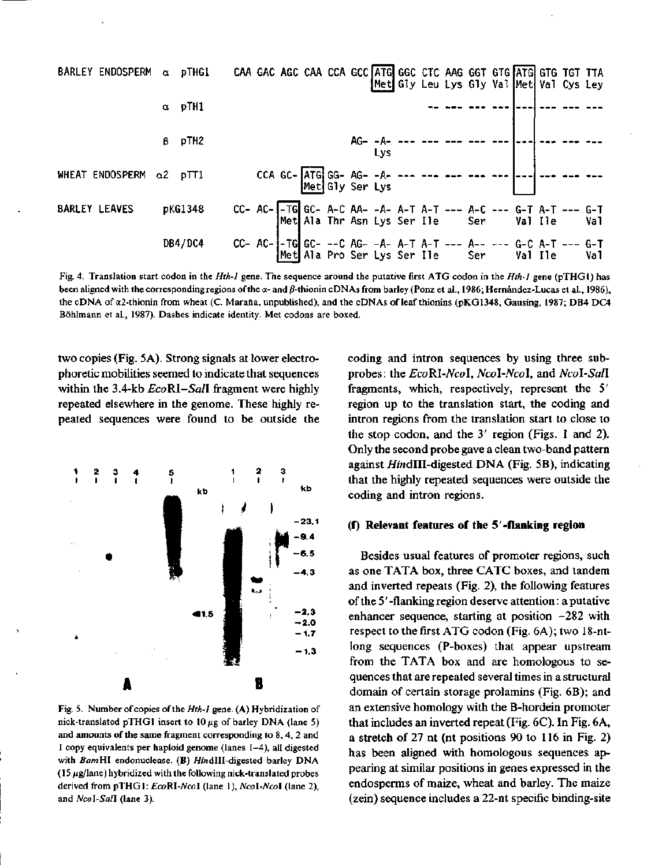

Fig. 4. Translation start codon in the *Hth-1* gene. The sequence around the putative fírst ATG codon in the *Hth-1* gene (pTHGl) has been aligned with the corresponding regions of the  $\alpha$ - and  $\beta$ -thionin cDNAs from barley (Ponz et al., 1986; Hernández-Lucas et al., 1986), the cDNA of  $\alpha$ 2-thionin from wheat (C. Maraña, unpublished), and the cDNAs of leaf thionins (pKG1348, Gausing, 1987; DB4 DC4 Bóhlmann et al., 1987). Dashes indicate identity. Met codons are boxed.

two copies (Fig. 5A). Strong signals at lower electrophoretic mobilities seemed to indicate that sequences within the 3.4-kb *EcoRl-Sall* fragment were highly repeated elsewhere in the genome. These highly repeated sequences were found to be outside the



Fig. 5. Number of copies of the *Hth-1* gene. (A) Hybridization of nick-translated pTHG1 insert to  $10 \mu$ g of barley DNA (lane 5) and amounts of the same fragment corresponding to 8, 4, 2 and 1 copy equivalents per haploid genome (lañes 1-4), all digested with BamHI endonuclease. (B) HindIII-digested barley DNA  $(15 \mu g / \text{lane})$  hybridized with the following nick-translated probes derived from pTHGl: *EcoRl-Ncol* (lañe 1), *Ncol-Ncol* (lañe 2), and Ncol-Sall (lane 3).

coding and intron sequences by using three subprobes: the *EcoRl-Ncol, Ncol-Ncol,* and *Ncol-Sall*  fragments, which, respectively, represent the 5' región up to the translation start, the coding and intron regions from the translation start to close to the stop codon, and the 3' región (Figs. 1 and 2). Only the second probé gave a clean two-band pattern against *HindIII-digested DNA* (Fig. 5B), indicating that the highly repeated sequences were outside the coding and intron regions.

### **(f) Relevant features of the 5-flanking región**

Besides usual features of promoter regions, such as one TATA box, three CATC boxes, and tandem and inverted repeats (Fig. 2), the following features of the 5' -flanking región deserve attention: a putative enhancer sequence, starting at position  $-282$  with respect to the fírst ATG codon (Fig. 6A); two 18-ntlong sequences (P-boxes) that appear upstream from the TATA box and are homologous to sequences that are repeated several times in a structural domain of certain storage prolamins (Fig. 6B); and an extensive homology with the B-hordein promoter that includes an inverted repeat (Fig. 6C). In Fig. 6A, a stretch of 27 nt (nt positions 90 to 116 in Fig. 2) has been aligned with homologous sequences appearing at similar positions in genes expressed in the endosperms of maize, wheat and barley. The maize (zein) sequence includes a 22-nt specific binding-site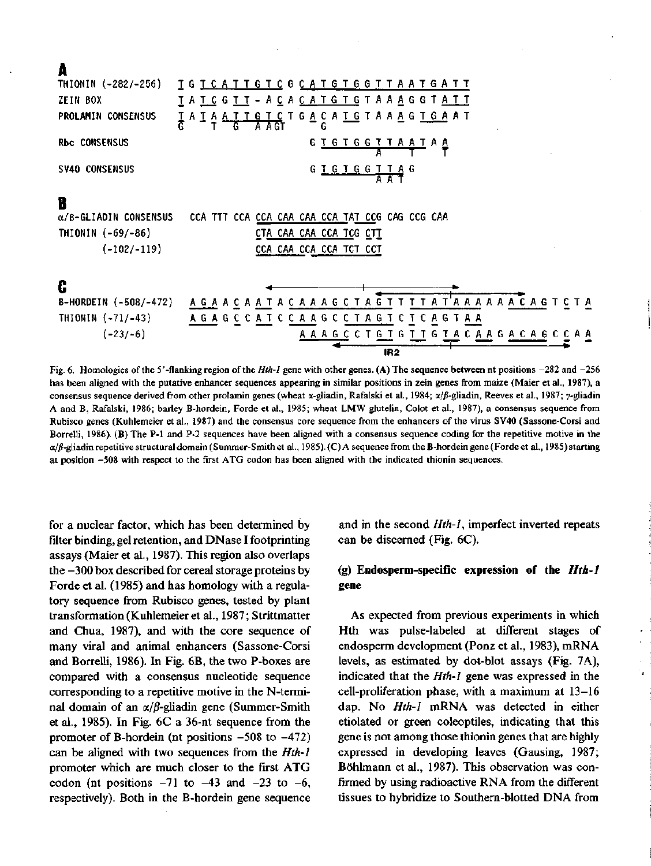| ۰. |  |
|----|--|

|                               | IR <sub>2</sub><br>in 6. Hamplogies of the 5'-flanking region of the Hth-1 gene with other genes (A) The sequence between at positions -282 and -21 |
|-------------------------------|-----------------------------------------------------------------------------------------------------------------------------------------------------|
| $(-23/-6)$                    | A A A G C C T G T G T T G T A C A A G A C A G C C A A                                                                                               |
| THIONIN $(-71/-43)$           | A G A G C C A T C C A A G C C T A G T C T C A G T A A                                                                                               |
| B-HORDEIN (-508/-472)         | A G A A C A A T A C A A A G C T A G T T T T T A T A A A A A A A C A G T C T A                                                                       |
| C                             |                                                                                                                                                     |
| $(-102/-119)$                 | CCA CAA CCA CCA TCT CCT                                                                                                                             |
| THIONIN $(-69/-86)$           | CTA CAA CAA CCA TCG CTT                                                                                                                             |
| $\alpha$ /B-GLIADIN CONSENSUS | CCA TTT CCA CCA CAA CAA CCA TAT CCG CAG CCG CAA                                                                                                     |
| B                             |                                                                                                                                                     |
| SV40 CONSENSUS                | GTGTGGTTAG<br>AAT                                                                                                                                   |
| <b>Rbc CONSENSUS</b>          | G T G T G G T T A A T A A                                                                                                                           |
| PROLAMIN CONSENSUS            | <u> I A I A A T T G T C</u> T G <u>A</u> C A <u>T G</u> T A A A G T G A A T<br>A AGT                                                                |
| ZEIN BOX                      | <u> T A T C G T T – A C A C A T G T G</u> T A A <u>A</u> G G T <u>A T T</u>                                                                         |
| THIONIN (-282/-256)           | <u>I G T C A T T G T C G C A T G T G G T T A A T G A T T</u>                                                                                        |

Fig. 6. Homologies of the 5'-flanking región of the *Hth-1* gene with other genes. (A) The sequence between nt positions -282 and -256 has been aligned with the putative enhancer sequences appearing in similar positions in zein genes from maize (Maier et al., 1987), a consensus sequence derived from other prolamin genes (wheat  $\alpha$ -gliadin, Rafalski et al., 1984;  $\alpha/\beta$ -gliadin, Reeves et al., 1987; y-gliadin A and B, Rafalski, 1986; barley B-hordein, Forde et al., 1985; wheat LMW glutelin, Colot et al., 1987), a consensus sequence from Rubisco genes (Kuhlemeier et al., 1987) and the consensus core sequence from the enhancers of the virus SV40 (Sassone-Corsi and Borrelli, 1986). (B) The P-1 and P-2 sequences have been aligned with a consensus sequence coding for the repetitive motive in the a/jS-gliadin repetitive structural domain (Summer-Smith et al., 1985). (C) A sequence from the B-hordein gene (Forde et al., 1985) starting at position -508 with respect to the first ATG codon has been aligned with the indicated thionin sequences.

for a nuclear factor, which has been determined by filter binding, gel retention, and DNase I footprinting assays (Maier et al., 1987). This región also overlaps the -300 box described for cereal storage proteins by Forde et al. (1985) and has homology with a regulatory sequence from Rubisco genes, tested by plant transformation (Kuhlemeier et al., 1987; Strittmatter and Chua, 1987), and with the core sequence of many viral and animal enhancers (Sassone-Corsi and Borrelli, 1986). In Fig. 6B, the two P-boxes are compared with a consensus nucleotide sequence corresponding to a repetitive motive in the N-terminal domain of an  $\alpha/\beta$ -gliadin gene (Summer-Smith et al., 1985). In Fig. 6C a 36-nt sequence from the promoter of B-hordein (nt positions  $-508$  to  $-472$ ) can be aligned with two sequences from the *Hth-1*  promoter which are much closer to the first ATG codon (nt positions  $-71$  to  $-43$  and  $-23$  to  $-6$ , respectively). Both in the B-hordein gene sequence and in the second *Hth-1,* imperfect inverted repeats can be discerned (Fig. 6C).

## (g) **Endosperm-specific expression of the** *Hth-1*  **gene**

As expected from previous experiments in which Hth was pulse-labeled at different stages of endosperm development (Ponz et al., 1983), mRNA levels, as estimated by dot-blot assays (Fig. 7A), indicated that the *Hth-1* gene was expressed in the cell-proliferation phase, with a maximum at  $13-16$ dap. No *Hth-1* mRNA was detected in either etiolated or green coleoptiles, indicating that this gene is not among those thionin genes that are highly expressed in developing leaves (Gausing, 1987; Bóhlmann et al., 1987). This observation was confirmed by using radioactive RNA from the different tissues to hybridize to Southern-blotted DNA from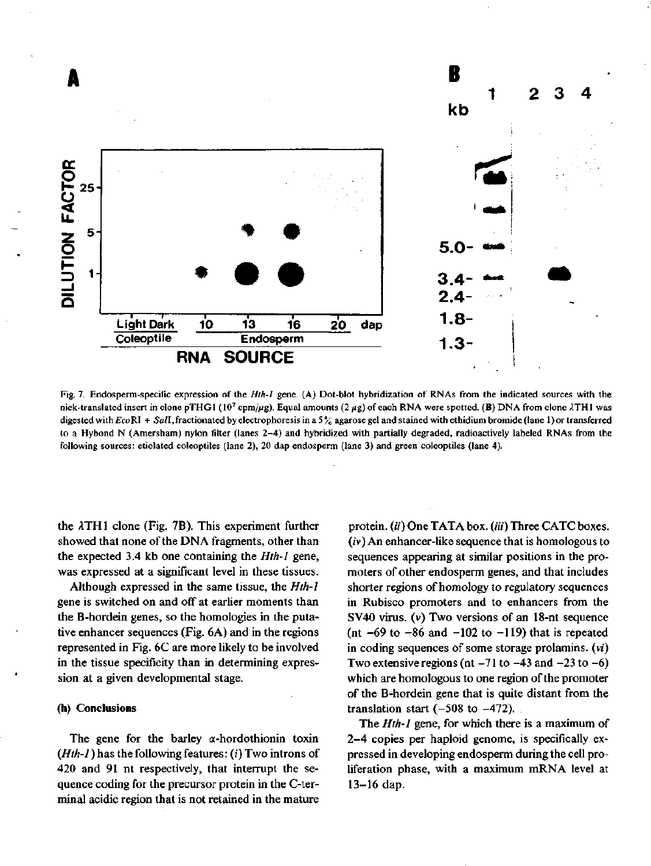

Fig. 7. Endosperm-specific expression of the *Hth-l* gene. (A) Dot-blot hybridization of RNAs from the indicated sources with the nick-translated insert in clone pTHG1 (10<sup>7</sup> cpm/µg). Equal amounts (2 µg) of each RNA were spotted. (B) DNA from clone  $\lambda$ TH1 was digested with EcoRI + SalI, fractionated by electrophoresis in a 5% agarose gel and stained with ethidium bromide (lane 1) or transferred to a Hybond N (Amersham) nylon filter (lanes 2-4) and hybridized with partially degraded, radioactively labeled RNAs from the following sources: etiolated coleoptiles (lañe 2), 20 dap endosperm (lañe 3) and green coleoptiles (lañe 4).

the  $\lambda$ TH1 clone (Fig. 7B). This experiment further showed that none of the DNA fragments, other than the expected 3.4 kb one containing the *Hth-l* gene, was expressed at a significant level in these tissues.

Although expressed in the same tissue, the *Hth-l*  gene is switched on and off at earlier moments than the B-hordein genes, so the homologies in the putative enhancer sequences (Fig. 6A) and in the regions represented in Fig. 6C are more likely to be involved in the tissue specificity than in determining expression at a given developmental stage.

### **(h) Conclusions**

The gene for the barley  $\alpha$ -hordothionin toxin *(Hth-l*) has the following features: (i) Two introns of 420 and 91 nt respectively, that interrupt the sequence coding for the precursor protein in the C-terminal acidic región that is not retained in the mature

protein. (ii) One TATA box. (iii) Three CATC boxes.  $(iv)$  An enhancer-like sequence that is homologous to sequences appearing at similar positions in the promoters of other endosperm genes, and that includes shorter regions of homology to regulatory sequences in Rubisco promoters and to enhancers from the SV40 virus,  $(v)$  Two versions of an 18-nt sequence (nt  $-69$  to  $-86$  and  $-102$  to  $-119$ ) that is repeated in coding sequences of some storage prolamins. (vi) Two extensive regions (nt  $-71$  to  $-43$  and  $-23$  to  $-6$ ) which are homologous to one region of the promoter of the B-hordein gene that is quite distant from the translation start  $(-508 \text{ to } -472)$ .

The *Hth-1* gene, for which there is a maximum of 2-4 copies per haploid genome, is specifically expressed in developing endosperm during the cell proliferation phase, with a maximum mRNA level at 13-16 dap.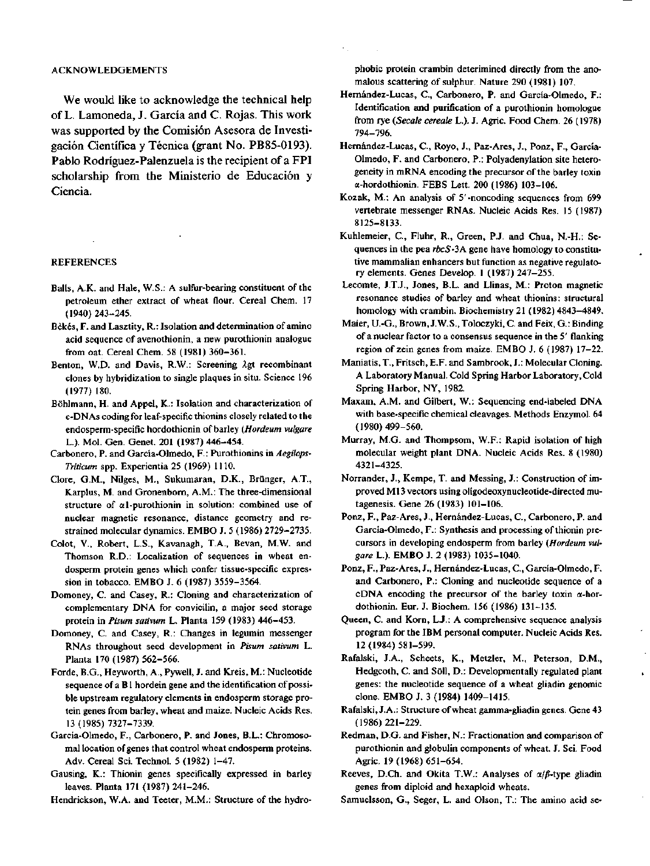#### ACKNOWLEDGEMENTS

We would like to acknowledge the technical help of L. Lamoneda, J. García and C. Rojas. This work was supported by the Comisión Asesora de Investigación Científica y Técnica (grant No. PB85-0193). Pablo Rodríguez-Palenzuela is the recipient of a FPI scholarship from the Ministerio de Educación y Ciencia.

#### REFERENCES

- Balls, A.K. and Hale, W.S.: A sulfur-bearing constituent of the petroleum ether extract of wheat fiour. Cereal Chem. 17 (1940) 243-245.
- Békés, F. and Lasztity, R.: Isolation and determination of amino acid sequence of avenothionin, a new purothionin analogue from oat. Cereal Chem. 58 (1981) 360-361.
- Benton, W.D. and Davis, R.W.: Screening Agt recombinant clones by hybridization to single plaques in situ. Science 196 (1977) 180.
- Bóhlmann, H. and Appel, K.: Isolation and characterization of c-DNAs coding for leaf-specific thionins closely related to the endosperm-specific hordothionin of barley *(Hordeum vulgare*  L.). Mol. Gen. Genet. 201 (1987) 446-454.
- Carbonero, P. and García-Olmedo, F.: Purothionins *in Aegilops-Triticum* spp. Experientia 25 (1969) 1110.
- Clore, G.M., Nilges, M., Sukumaran, D.K., Brünger, A.T., Karplus, M. and Gronenborn, A.M.: The three-dimensional structure of al-purothionin in solution: combined use of nuclear magnetic resonance, distance geometry and restrained molecular dynamics. EMBO J. 5 (1986) 2729-2735.
- Colot, V., Robert, L.S., Kavanagh, T.A., Bevan, M.W. and Thomson R.D.: Localization of sequences in wheat endosperm protein genes which confer tissue-specific expression in tobáceo. EMBO J. 6 (1987) 3559-3564.
- Domoney, C. and Casey, R.: Cloning and characterization of complementary DNA for convicilin, a major seed storage protein in *Pisum sativum* L. Planta 159 (1983) 446-453.
- Domoney, C. and Casey, R.: Changes in legumin messenger RNAs throughout seed development in *Pisum sativum* L. Planta 170 (1987) 562-566.
- Forde, B.G., Heyworth, A., Pywell, J. and Kreis, M.: Nucleotide sequence of a Bl hordein gene and the identification of possible upstream regulatory elements in endosperm storage protein genes from barley, wheat and maize. Nucleic Acids Res. 13 (1985) 7327-7339.
- García-Olmedo, F., Carbonero, P. and Jones, B.L.: Chromosomal location of genes that control wheat endosperm proteins. Adv. Cereal Sci. Technol. 5 (1982) 1-47.
- Gausing, K.: Thionin genes specifically expressed in barley leaves. Planta 171 (1987) 241-246.
- Hendrickson, W.A. and Teeter, M.M.: Structure of the hydro-

phobic protein crambin deterimined directly from the anomalous scattering of sulphur. Nature 290 (1981) 107.

- Hernández-Lucas, C, Carbonero, P. and García-Olmedo, F.: Identification and purification of a purothionin homologue from rye *{Sécale aeréale* L.). J. Agrie. Food Chem. 26 (1978) 794-796.
- Hernández-Lucas, C, Royo, J., Paz-Ares, J., Ponz, F., García-Olmedo, F. and Carbonero, P.: Polyadenylation site heterogeneity in mRNA encoding the precursor of the barley toxin a-hordothionin. FEBS Lett. 200 (1986) 103-106.
- Kozak, M.: An analysis of 5'-noncoding sequences from 699 vertébrate messenger RNAs. Nucleic Acids Res. 15 (1987) 8125-8133.
- Kuhlemeier, C, Fluhr, R., Green, P.J. and Chua, N.-H.: Sequences in the pea *rbcS-3A* gene have homology to constitutive mammalian enhancers but function as negative regulatory elements. Genes Develop. 1 (1987) 247-255.
- Lecomte, J.T.J., Jones, B.L. and Llinas, M.: Proton magnetic resonance studies of barley and wheat thionins: structural homology with crambin. Biochemistry 21 (1982) 4843-4849.
- Maier, U.-G., Brown, J.W.S., Toloczyki, C. and Feix, G.: Binding of a nuclear factor to a consensus sequence in the 5' flanking región of zein genes from maize. EMBO J. 6 (1987) 17-22.
- Maniatis, T., Fritsch, E.F. and Sambrook, J.: Molecular Cloning. A Laboratory Manual. Cold Spring Harbor Laboratory, Cold Spring Harbor, NY, 1982.
- Maxam, A.M. and Gilbert, W.: Sequencing end-labeled DNA with base-specific chemical cleavages. Methods Enzymol. 64 (1980) 499-560.
- Murray, M.G. and Thompsom, W.F.: Rapid isolation of high molecular weight plant DNA. Nucleic Acids Res. 8 (1980) 4321-4325.
- Norrander, J., Kempe, T. and Messing, J.: Construction of improved M13 vectors using oligodeoxynucleotide-directed mutagenesis. Gene 26 (1983) 101-106.
- Ponz, F., Paz-Ares, J., Hernández-Lucas, C, Carbonero, P. and García-Olmedo, F.: Synthesis and processing of thionin precursors in developing endosperm from barley *(Hordeum vulgare* L.). EMBO J. 2 (1983) 1035-1040.
- Ponz, F., Paz-Ares, J., Hernández-Lucas, C, García-Olmedo, F. and Carbonero, P.: Cloning and nucleotide sequence of a cDNA encoding the precursor of the barley toxin  $\alpha$ -hordothionin. Eur. J. Biochem. 156 (1986) 131-135.
- Queen, C. and Korn, L.J.: A comprehensive sequence analysis program for the IBM personal computer. Nucleic Acids Res. 12(1984)581-599.
- Rafalski, J.A., Scheets, K., Metzler, M., Peterson, D.M., Hedgcoth, C. and Söll, D.: Developmentally regulated plant genes: the nucleotide sequence of a wheat gliadin genomic clone. EMBO J. 3 (1984) 1409-1415.
- Rafalski, J.A.: Structure of wheat gamma-gliadin genes. Gene 43 (1986) 221-229.
- Redman, D.G. and Fisher, N.: Fractionation and comparison of purothionin and globulin components of wheat. J. Sci. Food Agrie. 19 (1968) 651-654.
- Reeves, D.Ch. and Okita T.W.: Analyses of  $\alpha/\beta$ -type gliadin genes from diploid and hexaploid wheats.
- Samuelsson, G., Seger, L. and Olson, T.: The amino acid se-